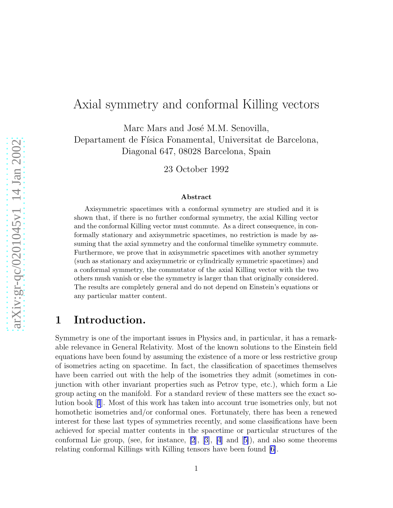# Axial symmetry and conformal Killing vectors

Marc Mars and José M.M. Senovilla, Departament de Física Fonamental, Universitat de Barcelona, Diagonal 647, 08028 Barcelona, Spain

23 October 1992

#### Abstract

Axisymmetric spacetimes with a conformal symmetry are studied and it is shown that, if there is no further conformal symmetry, the axial Killing vector and the conformal Killing vector must commute. As a direct consequence, in conformally stationary and axisymmetric spacetimes, no restriction is made by assuming that the axial symmetry and the conformal timelike symmetry commute. Furthermore, we prove that in axisymmetric spacetimes with another symmetry (such as stationary and axisymmetric or cylindrically symmetric spacetimes) and a conformal symmetry, the commutator of the axial Killing vector with the two others mush vanish or else the symmetry is larger than that originally considered. The results are completely general and do not depend on Einstein's equations or any particular matter content.

### 1 Introduction.

Symmetry is one of the important issues in Physics and, in particular, it has a remarkable relevance in General Relativity. Most of the known solutions to the Einstein field equations have been found by assuming the existence of a more or less restrictive group of isometries acting on spacetime. In fact, the classification of spacetimes themselves have been carried out with the help of the isometries they admit (sometimes in conjunction with other invariant properties such as Petrov type, etc.), which form a Lie group acting on the manifold. For a standard review of these matters see the exact solution book[[1](#page-16-0)]. Most of this work has taken into account true isometries only, but not homothetic isometries and/or conformal ones. Fortunately, there has been a renewed interest for these last types of symmetries recently, and some classifications have been achieved for special matter contents in the spacetime or particular structures of the conformal Lie group, (see, for instance, [\[2](#page-16-0)],[[3\]](#page-16-0), [\[4](#page-16-0)] and[[5\]](#page-16-0)), and also some theorems relating conformal Killings with Killing tensors have been found[[6\]](#page-16-0).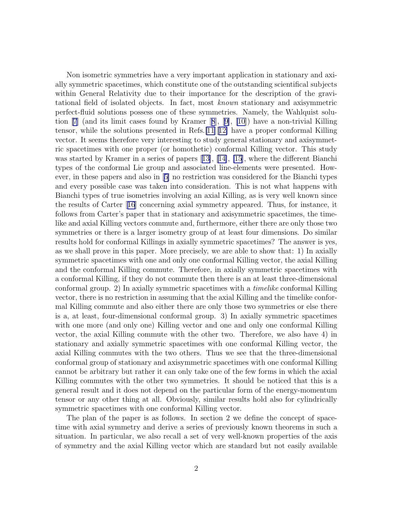Non isometric symmetries have a very important application in stationary and axially symmetric spacetimes, which constitute one of the outstanding scientifical subjects within General Relativity due to their importance for the description of the gravitational field of isolated objects. In fact, most known stationary and axisymmetric perfect-fluid solutions possess one of these symmetries. Namely, the Wahlquist solution [\[7](#page-16-0)] (and its limit cases found by Kramer[[8](#page-16-0)],[[9\]](#page-16-0), [\[10](#page-16-0)]) have a non-trivial Killing tensor, while the solutions presented in Refs.[\[11](#page-16-0)][[12\]](#page-16-0) have a proper conformal Killing vector. It seems therefore very interesting to study general stationary and axisymmetric spacetimes with one proper (or homothetic) conformal Killing vector. This study was started by Kramer in a series of papers[[13\]](#page-16-0), [\[14\]](#page-16-0), [\[15](#page-16-0)], where the different Bianchi types of the conformal Lie group and associated line-elements were presented. However, in these papers and also in[[5\]](#page-16-0) no restriction was considered for the Bianchi types and every possible case was taken into consideration. This is not what happens with Bianchi types of true isometries involving an axial Killing, as is very well known since the results of Carter[[16](#page-16-0)] concerning axial symmetry appeared. Thus, for instance, it follows from Carter's paper that in stationary and axisymmetric spacetimes, the timelike and axial Killing vectors commute and, furthermore, either there are only those two symmetries or there is a larger isometry group of at least four dimensions. Do similar results hold for conformal Killings in axially symmetric spacetimes? The answer is yes, as we shall prove in this paper. More precisely, we are able to show that: 1) In axially symmetric spacetimes with one and only one conformal Killing vector, the axial Killing and the conformal Killing commute. Therefore, in axially symmetric spacetimes with a conformal Killing, if they do not commute then there is an at least three-dimensional conformal group. 2) In axially symmetric spacetimes with a timelike conformal Killing vector, there is no restriction in assuming that the axial Killing and the timelike conformal Killing commute and also either there are only those two symmetries or else there is a, at least, four-dimensional conformal group. 3) In axially symmetric spacetimes with one more (and only one) Killing vector and one and only one conformal Killing vector, the axial Killing commute with the other two. Therefore, we also have 4) in stationary and axially symmetric spacetimes with one conformal Killing vector, the axial Killing commutes with the two others. Thus we see that the three-dimensional conformal group of stationary and axisymmetric spacetimes with one conformal Killing cannot be arbitrary but rather it can only take one of the few forms in which the axial Killing commutes with the other two symmetries. It should be noticed that this is a general result and it does not depend on the particular form of the energy-momentum tensor or any other thing at all. Obviously, similar results hold also for cylindrically symmetric spacetimes with one conformal Killing vector.

The plan of the paper is as follows. In section 2 we define the concept of spacetime with axial symmetry and derive a series of previously known theorems in such a situation. In particular, we also recall a set of very well-known properties of the axis of symmetry and the axial Killing vector which are standard but not easily available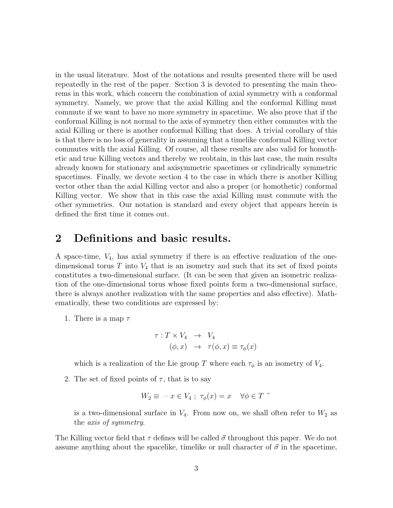in the usual literature. Most of the notations and results presented there will be used repeatedly in the rest of the paper. Section 3 is devoted to presenting the main theorems in this work, which concern the combination of axial symmetry with a conformal symmetry. Namely, we prove that the axial Killing and the conformal Killing must commute if we want to have no more symmetry in spacetime. We also prove that if the conformal Killing is not normal to the axis of symmetry then either commutes with the axial Killing or there is another conformal Killing that does. A trivial corollary of this is that there is no loss of generality in assuming that a timelike conformal Killing vector commutes with the axial Killing. Of course, all these results are also valid for homothetic and true Killing vectors and thereby we reobtain, in this last case, the main results already known for stationary and axisymmetric spacetimes or cylindrically symmetric spacetimes. Finally, we devote section 4 to the case in which there is another Killing vector other than the axial Killing vector and also a proper (or homothetic) conformal Killing vector. We show that in this case the axial Killing must commute with the other symmetries. Our notation is standard and every object that appears herein is defined the first time it comes out.

### 2 Definitions and basic results.

A space-time,  $V_4$ , has axial symmetry if there is an effective realization of the onedimensional torus T into  $V_4$  that is an isometry and such that its set of fixed points constitutes a two-dimensional surface. (It can be seen that given an isometric realization of the one-dimensional torus whose fixed points form a two-dimensional surface, there is always another realization with the same properties and also effective). Mathematically, these two conditions are expressed by:

1. There is a map  $\tau$ 

$$
\tau: T \times V_4 \rightarrow V_4
$$
  

$$
(\phi, x) \rightarrow \tau(\phi, x) \equiv \tau_{\phi}(x)
$$

which is a realization of the Lie group T where each  $\tau_{\phi}$  is an isometry of  $V_4$ .

2. The set of fixed points of  $\tau$ , that is to say

$$
W_2 \equiv -x \in V_4 \; ; \; \tau_{\phi}(x) = x \quad \forall \phi \in T \; ''
$$

is a two-dimensional surface in  $V_4$ . From now on, we shall often refer to  $W_2$  as the axis of symmetry.

The Killing vector field that  $\tau$  defines will be called  $\vec{\sigma}$  throughout this paper. We do not assume anything about the spacelike, timelike or null character of  $\vec{\sigma}$  in the spacetime,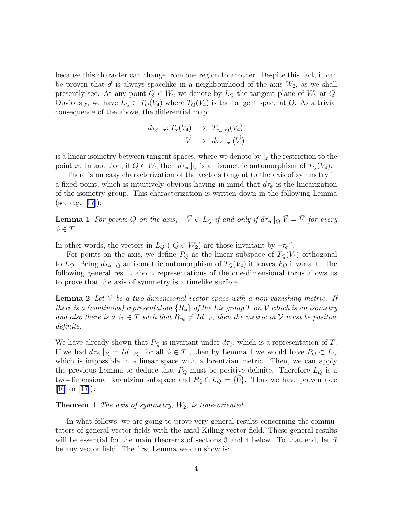because this character can change from one region to another. Despite this fact, it can be proven that  $\vec{\sigma}$  is always spacelike in a neighbourhood of the axis  $W_2$ , as we shall presently see. At any point  $Q \in W_2$  we denote by  $L_Q$  the tangent plane of  $W_2$  at  $Q$ . Obviously, we have  $L_Q \subset T_Q(V_4)$  where  $T_Q(V_4)$  is the tangent space at Q. As a trivial consequence of the above, the differential map

$$
d\tau_{\phi} \mid_{x}: T_{x}(V_{4}) \rightarrow T_{\tau_{\phi}(x)}(V_{4})
$$

$$
\vec{V} \rightarrow d\tau_{\phi} \mid_{x} (\vec{V})
$$

is a linear isometry between tangent spaces, where we denote by  $\vert_x$  the restriction to the point x. In addition, if  $Q \in W_2$  then  $d\tau_{\phi} |_{Q}$  is an isometric automorphism of  $T_Q(V_4)$ .

There is an easy characterization of the vectors tangent to the axis of symmetry in a fixed point, which is intuitively obvious having in mind that  $d\tau_{\phi}$  is the linearization of the isometry group. This characterization is written down in the following Lemma (see e.g.[[17](#page-17-0)]):

**Lemma 1** For points Q on the axis,  $\vec{V} \in L_Q$  if and only if  $d\tau_{\phi} |_{Q} \vec{V} = \vec{V}$  for every  $\phi \in T$ .

In other words, the vectors in  $L_Q$  (  $Q \in W_2$ ) are those invariant by  $-\tau_{\phi}$ ".

For points on the axis, we define  $P_Q$  as the linear subspace of  $T_Q(V_4)$  orthogonal to  $L_Q$ . Being  $d\tau_\phi|_Q$  an isometric automorphism of  $T_Q(V_4)$  it leaves  $P_Q$  invariant. The following general result about representations of the one-dimensional torus allows us to prove that the axis of symmetry is a timelike surface.

**Lemma 2** Let V be a two-dimensional vector space with a non-vanishing metric. If there is a (continous) representation  ${R_{\phi}}$  of the Lie group T on V which is an isometry and also there is a  $\phi_0 \in T$  such that  $R_{\phi_0} \neq Id \mid_V$ , then the metric in V must be positive definite.

We have already shown that  $P_Q$  is invariant under  $d\tau_{\phi}$ , which is a representation of T. If we had  $d\tau_{\phi}$  | $_{PQ} = Id \mid_{PQ}$  for all  $\phi \in T$ , then by Lemma 1 we would have  $P_Q \subset L_Q$ which is impossible in a linear space with a lorentzian metric. Then, we can apply the previous Lemma to deduce that  $P_Q$  must be positive definite. Therefore  $L_Q$  is a two-dimensional lorentzian subspace and  $P_Q \cap L_Q = \{\vec{0}\}\.$  Thus we have proven (see [\[16](#page-16-0)] or[[17\]](#page-17-0)):

**Theorem 1** The axis of symmetry,  $W_2$ , is time-oriented.

In what follows, we are going to prove very general results concerning the commutators of general vector fields with the axial Killing vector field. These general results will be essential for the main theorems of sections 3 and 4 below. To that end, let  $\vec{\alpha}$ be any vector field. The first Lemma we can show is: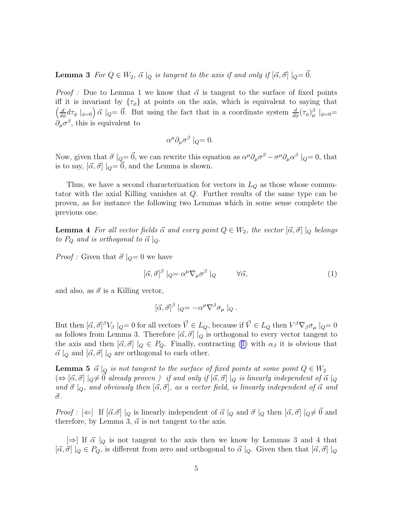<span id="page-4-0"></span>**Lemma 3** For  $Q \in W_2$ ,  $\vec{\alpha} \mid_Q i$  is tangent to the axis if and only if  $[\vec{\alpha}, \vec{\sigma}] \mid_Q = \vec{0}$ .

*Proof* : Due to Lemma 1 we know that  $\vec{\alpha}$  is tangent to the surface of fixed points iff it is invariant by  $\{\tau_{\phi}\}\$ at points on the axis, which is equivalent to saying that  $\left(\frac{d}{d\phi}d\tau_{\phi}\right)_{\phi=0} \vec{\alpha}$   $|_{Q} = \vec{0}$ . But using the fact that in a coordinate system  $\frac{d}{d\phi}(\tau_{\phi})_{\mu}^{\beta}$   $|_{\phi=0} =$  $\partial_{\mu}\sigma^{\beta}$ , this is equivalent to

$$
\alpha^{\mu}\partial_{\mu}\sigma^{\beta} \mid_Q = 0.
$$

α

Now, given that  $\vec{\sigma}|_Q = \vec{0}$ , we can rewrite this equation as  $\alpha^{\mu}\partial_{\mu}\sigma^{\beta} - \sigma^{\mu}\partial_{\mu}\alpha^{\beta}|_Q = 0$ , that is to say,  $[\vec{\alpha}, \vec{\sigma}] |_{Q} = 0$ , and the Lemma is shown.

Thus, we have a second characterization for vectors in  $L_Q$  as those whose commutator with the axial Killing vanishes at Q. Further results of the same type can be proven, as for instance the following two Lemmas which in some sense complete the previous one.

**Lemma 4** For all vector fields  $\vec{\alpha}$  and every point  $Q \in W_2$ , the vector  $[\vec{\alpha}, \vec{\sigma}] |_{Q}$  belongs to  $P_Q$  and is orthogonal to  $\vec{\alpha}|_Q$ .

*Proof*: Given that  $\vec{\sigma}|_Q=0$  we have

$$
[\vec{\alpha}, \vec{\sigma}]^{\beta} \mid_{Q} = \alpha^{\mu} \nabla_{\mu} \sigma^{\beta} \mid_{Q} \qquad \forall \vec{\alpha}, \qquad (1)
$$

and also, as  $\vec{\sigma}$  is a Killing vector,

$$
[\vec{\alpha}, \vec{\sigma}]^{\beta} |_{Q} = -\alpha^{\mu} \nabla^{\beta} \sigma_{\mu} |_{Q} .
$$

But then  $[\vec{\alpha}, \vec{\sigma}]^{\beta}V_{\beta}|_Q = 0$  for all vectors  $\vec{V} \in L_Q$ , because if  $\vec{V} \in L_Q$  then  $V^{\beta} \nabla_{\beta} \sigma_{\mu}|_Q = 0$ as follows from Lemma 3. Therefore  $[\vec{\alpha}, \vec{\sigma}] |_{Q}$  is orthogonal to every vector tangent to the axis and then  $[\vec{\alpha}, \vec{\sigma}] |_{Q} \in P_Q$ . Finally, contracting (1) with  $\alpha_{\beta}$  it is obvious that  $\vec{\alpha}|_Q$  and  $[\vec{\alpha}, \vec{\sigma}]|_Q$  are orthogonal to each other.

**Lemma 5**  $\vec{\alpha} \mid_Q i$  is not tangent to the surface of fixed points at some point  $Q \in W_2$  $(\Leftrightarrow [\vec{\alpha}, \vec{\sigma}] \mid_{Q} \neq \vec{0}$  already proven ) if and only if  $[\vec{\alpha}, \vec{\sigma}] \mid_{Q}$  is linearly independent of  $\vec{\alpha} \mid_{Q}$ and  $\vec{\sigma} \mid_{Q}$ , and obviously then  $[\vec{\alpha}, \vec{\sigma}]$ , as a vector field, is linearly independent of  $\vec{\alpha}$  and  $\vec{\sigma}$ .

Proof :  $\left[\Leftarrow\right]$  If  $[\vec{\alpha}.\vec{\sigma}] |_{Q}$  is linearly independent of  $\vec{\alpha} |_{Q}$  and  $\vec{\sigma} |_{Q}$  then  $[\vec{\alpha}, \vec{\sigma}] |_{Q} \neq \vec{0}$  and therefore, by Lemma 3,  $\vec{\alpha}$  is not tangent to the axis.

 $[\Rightarrow]$  If  $\vec{\alpha} \mid_Q$  is not tangent to the axis then we know by Lemmas 3 and 4 that  $[\vec{\alpha}, \vec{\sigma}] |_{Q} \in P_Q$ , is different from zero and orthogonal to  $\vec{\alpha} |_{Q}$ . Given then that  $[\vec{\alpha}, \vec{\sigma}] |_{Q}$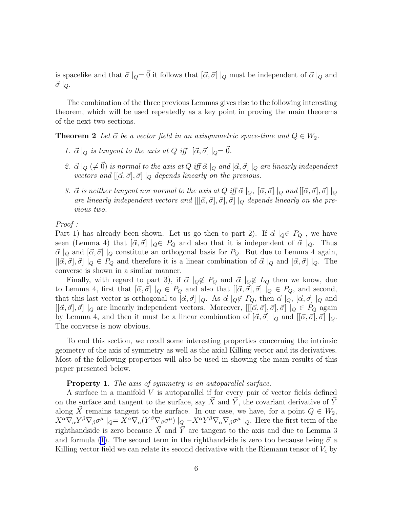is spacelike and that  $\vec{\sigma}|_Q = \vec{0}$  it follows that  $[\vec{\alpha}, \vec{\sigma}] |_Q$  must be independent of  $\vec{\alpha} |_Q$  and  $\vec{\sigma}$  |  $\varphi$ .

The combination of the three previous Lemmas gives rise to the following interesting theorem, which will be used repeatedly as a key point in proving the main theorems of the next two sections.

**Theorem 2** Let  $\vec{\alpha}$  be a vector field in an axisymmetric space-time and  $Q \in W_2$ .

- 1.  $\vec{\alpha} \mid_Q$  is tangent to the axis at Q iff  $[\vec{\alpha}, \vec{\sigma}] \mid_Q = \vec{0}$ .
- 2.  $\vec{\alpha} \mid_Q (\neq \vec{0})$  is normal to the axis at Q iff  $\vec{\alpha} \mid_Q$  and  $[\vec{\alpha}, \vec{\sigma}] \mid_Q$  are linearly independent vectors and  $[{\vec{\alpha}}, {\vec{\sigma}}], {\vec{\sigma}}] \mid_{Q}$  depends linearly on the previous.
- 3.  $\vec{\alpha}$  is neither tangent nor normal to the axis at Q iff  $\vec{\alpha} \mid_{Q}$ ,  $[\vec{\alpha}, \vec{\sigma}] \mid_{Q}$  and  $[[\vec{\alpha}, \vec{\sigma}], \vec{\sigma}] \mid_{Q}$ are linearly independent vectors and  $[[\vec{\alpha}, \vec{\sigma}], \vec{\sigma}], \vec{\sigma}] |_{Q}$  depends linearly on the previous two.

Proof :

Part 1) has already been shown. Let us go then to part 2). If  $\vec{\alpha} \mid_{Q} \in P_Q$ , we have seen (Lemma 4) that  $[\vec{\alpha}, \vec{\sigma}] \mid_Q \in P_Q$  and also that it is independent of  $\vec{\alpha} \mid_Q$ . Thus  $\vec{\alpha} \mid_Q$  and  $[\vec{\alpha}, \vec{\sigma}] \mid_Q$  constitute an orthogonal basis for  $P_Q$ . But due to Lemma 4 again,  $[[\vec{\alpha}, \vec{\sigma}], \vec{\sigma}] |_{Q} \in P_Q$  and therefore it is a linear combination of  $\vec{\alpha} |_{Q}$  and  $[\vec{\alpha}, \vec{\sigma}] |_{Q}$ . The converse is shown in a similar manner.

Finally, with regard to part 3), if  $\vec{\alpha} \mid_{Q} \notin P_Q$  and  $\vec{\alpha} \mid_{Q} \notin L_Q$  then we know, due to Lemma 4, first that  $[\vec{\alpha}, \vec{\sigma}] |_{Q} \in P_Q$  and also that  $[[\vec{\alpha}, \vec{\sigma}], \vec{\sigma}] |_{Q} \in P_Q$ , and second, that this last vector is orthogonal to  $[\vec{\alpha}, \vec{\sigma}] \mid_Q$ . As  $\vec{\alpha} \mid_Q \notin P_Q$ , then  $\vec{\alpha} \mid_Q, [\vec{\alpha}, \vec{\sigma}] \mid_Q$  and  $[[\vec{\alpha}, \vec{\sigma}], \vec{\sigma}] |_Q$  are linearly independent vectors. Moreover,  $[[[\vec{\alpha}, \vec{\sigma}], \vec{\sigma}], \vec{\sigma}] |_Q \in P_Q$  again by Lemma 4, and then it must be a linear combination of  $[\vec{\alpha}, \vec{\sigma}] |_{Q}$  and  $[[\vec{\alpha}, \vec{\sigma}], \vec{\sigma}] |_{Q}$ . The converse is now obvious.

To end this section, we recall some interesting properties concerning the intrinsic geometry of the axis of symmetry as well as the axial Killing vector and its derivatives. Most of the following properties will also be used in showing the main results of this paper presented below.

#### Property 1. The axis of symmetry is an autoparallel surface.

A surface in a manifold V is autoparallel if for every pair of vector fields defined on the surface and tangent to the surface, say X° and Y<sup>°</sup>, the covariant derivative of Y<sup>°</sup> along  $\vec{X}$  remains tangent to the surface. In our case, we have, for a point  $Q \in W_2$ ,  $X^{\alpha}\nabla_{\alpha}Y^{\beta}\nabla_{\beta}\sigma^{\mu} \mid_{Q} = X^{\alpha}\nabla_{\alpha}(Y^{\beta}\nabla_{\beta}\sigma^{\mu}) \mid_{Q} -X^{\alpha}Y^{\beta}\nabla_{\alpha}\nabla_{\beta}\sigma^{\mu} \mid_{Q}$ . Here the first term of the righthandside is zero because  $\vec{X}$  and  $\vec{Y}$  are tangent to the axis and due to Lemma 3 andformula ([1\)](#page-4-0). The second term in the righthandside is zero too because being  $\vec{\sigma}$  a Killing vector field we can relate its second derivative with the Riemann tensor of  $V_4$  by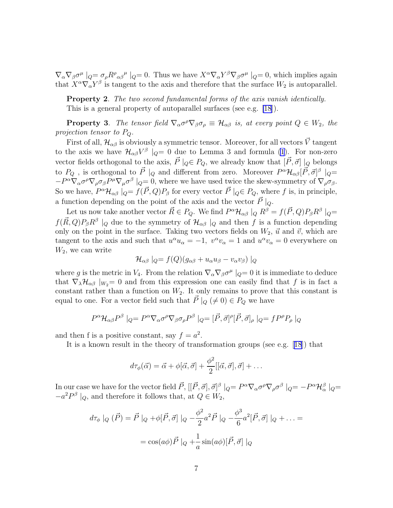$\nabla_\alpha \nabla_\beta \sigma^\mu \mid_Q = \sigma_\rho R^\rho{}_{\alpha\beta}{}^\mu \mid_Q = 0$ . Thus we have  $X^\alpha \nabla_\alpha Y^\beta \nabla_\beta \sigma^\mu \mid_Q = 0$ , which implies again that  $X^{\alpha}\nabla_{\alpha}Y^{\beta}$  is tangent to the axis and therefore that the surface  $W_2$  is autoparallel.

Property 2. The two second fundamental forms of the axis vanish identically. This is a general property of autoparallel surfaces (see e.g. [\[18\]](#page-17-0)).

**Property 3**. The tensor field  $\nabla_{\alpha} \sigma^{\rho} \nabla_{\beta} \sigma_{\rho} \equiv \mathcal{H}_{\alpha\beta}$  is, at every point  $Q \in W_2$ , the projection tensor to PQ.

First of all,  $\mathcal{H}_{\alpha\beta}$  is obviously a symmetric tensor. Moreover, for all vectors  $\vec{V}$  tangent to the axis we have  $\mathcal{H}_{\alpha\beta}V^{\beta}|_Q=0$  due to Lemma 3 and formula [\(1](#page-4-0)). For non-zero vector fields orthogonal to the axis,  $\vec{P} \mid_{Q} \in P_Q$ , we already know that  $[\vec{P}, \vec{\sigma}] \mid_Q$  belongs to  $P_Q$ , is orthogonal to  $\vec{P} \mid_Q$  and different from zero. Moreover  $P^{\alpha} \mathcal{H}_{\alpha\beta} [\vec{P}, \vec{\sigma}]^{\beta} \mid_Q =$  $-P^{\alpha}\nabla_{\alpha}\sigma^{\rho}\nabla_{\rho}\sigma_{\beta}P^{\mu}\nabla_{\mu}\sigma^{\beta}\mid_{Q}=0$ , where we have used twice the skew-symmetry of  $\nabla_{\rho}\sigma_{\beta}$ . So we have,  $P^{\alpha} \mathcal{H}_{\alpha\beta}$   $|_{Q} = f(\vec{P}, Q)P_{\beta}$  for every vector  $\vec{P} |_{Q} \in P_{Q}$ , where f is, in principle, a function depending on the point of the axis and the vector  $\vec{P} \mid_{Q}$ .

Let us now take another vector  $\vec{R} \in P_Q$ . We find  $P^{\alpha} \mathcal{H}_{\alpha\beta} |_{Q} R^{\beta} = f(\vec{P}, Q) P_{\beta} R^{\beta} |_{Q} =$  $f(\vec{R},Q)P_{\beta}R^{\beta}$  |<sub>Q</sub> due to the symmetry of  $\mathcal{H}_{\alpha\beta}$  |<sub>Q</sub> and then f is a function depending only on the point in the surface. Taking two vectors fields on  $W_2$ ,  $\vec{u}$  and  $\vec{v}$ , which are tangent to the axis and such that  $u^{\alpha}u_{\alpha} = -1$ ,  $v^{\alpha}v_{\alpha} = 1$  and  $u^{\alpha}v_{\alpha} = 0$  everywhere on  $W_2$ , we can write

$$
\mathcal{H}_{\alpha\beta}\mid_Q=f(Q)(g_{\alpha\beta}+u_\alpha u_\beta-v_\alpha v_\beta)\mid_Q
$$

where g is the metric in  $V_4$ . From the relation  $\nabla_\alpha \nabla_\beta \sigma^\mu \mid_Q = 0$  it is immediate to deduce that  $\nabla_{\lambda} \mathcal{H}_{\alpha\beta} |_{W_2} = 0$  and from this expression one can easily find that f is in fact a constant rather than a function on  $W_2$ . It only remains to prove that this constant is equal to one. For a vector field such that  $\vec{P} \mid_{Q} (\neq 0) \in P_Q$  we have

$$
P^{\alpha} \mathcal{H}_{\alpha\beta} P^{\beta} \mid_{Q} = P^{\alpha} \nabla_{\alpha} \sigma^{\rho} \nabla_{\beta} \sigma_{\rho} P^{\beta} \mid_{Q} = [\vec{P}, \vec{\sigma}]^{\rho} [\vec{P}, \vec{\sigma}]_{\rho} \mid_{Q} = f P^{\rho} P_{\rho} \mid_{Q}
$$

and then f is a positive constant, say  $f = a^2$ .

It is a known result in the theory of transformation groups (see e.g.[[18](#page-17-0)]) that

$$
d\tau_{\phi}(\vec{\alpha}) = \vec{\alpha} + \phi[\vec{\alpha}, \vec{\sigma}] + \frac{\phi^2}{2} [[\vec{\alpha}, \vec{\sigma}], \vec{\sigma}] + \dots
$$

In our case we have for the vector field  $\vec{P}$ ,  $[[\vec{P}, \vec{\sigma}], \vec{\sigma}]^{\beta} \mid_{Q} = P^{\alpha} \nabla_{\alpha} \sigma^{\rho} \nabla_{\rho} \sigma^{\beta} \mid_{Q} = -P^{\alpha} \mathcal{H}^{\beta}_{\alpha} \mid_{Q} =$  $-a^2 P^{\beta} \mid_Q$ , and therefore it follows that, at  $Q \in W_2$ ,

$$
d\tau_{\phi} |_{Q} (\vec{P}) = \vec{P} |_{Q} + \phi[\vec{P}, \vec{\sigma}] |_{Q} - \frac{\phi^{2}}{2} a^{2} \vec{P} |_{Q} - \frac{\phi^{3}}{6} a^{2} [\vec{P}, \vec{\sigma}] |_{Q} + \dots =
$$
  

$$
= \cos(a\phi) \vec{P} |_{Q} + \frac{1}{a} \sin(a\phi) [\vec{P}, \vec{\sigma}] |_{Q}
$$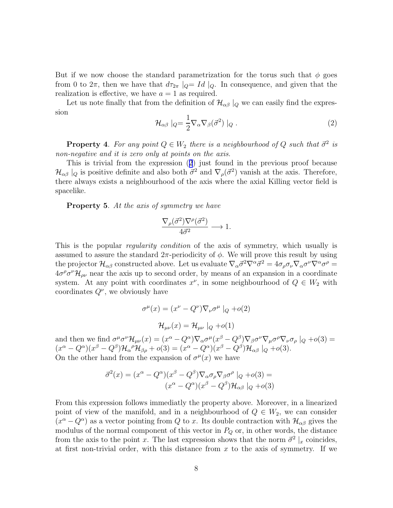But if we now choose the standard parametrization for the torus such that  $\phi$  goes from 0 to  $2\pi$ , then we have that  $d\tau_{2\pi}$   $|_{Q}=Id|_{Q}$ . In consequence, and given that the realization is effective, we have  $a = 1$  as required.

Let us note finally that from the definition of  $\mathcal{H}_{\alpha\beta}|_Q$  we can easily find the expression

$$
\mathcal{H}_{\alpha\beta} \mid_{Q} = \frac{1}{2} \nabla_{\alpha} \nabla_{\beta} (\vec{\sigma}^2) \mid_{Q} . \tag{2}
$$

**Property 4.** For any point  $Q \in W_2$  there is a neighbourhood of Q such that  $\vec{\sigma}^2$  is non-negative and it is zero only at points on the axis.

This is trivial from the expression (2) just found in the previous proof because  $\mathcal{H}_{\alpha\beta} |_{Q}$  is positive definite and also both  $\vec{\sigma}^2$  and  $\nabla_{\rho}(\vec{\sigma}^2)$  vanish at the axis. Therefore, there always exists a neighbourhood of the axis where the axial Killing vector field is spacelike.

Property 5. At the axis of symmetry we have

$$
\frac{\nabla_{\rho}(\vec{\sigma}^2)\nabla^{\rho}(\vec{\sigma}^2)}{4\vec{\sigma}^2} \longrightarrow 1.
$$

This is the popular regularity condition of the axis of symmetry, which usually is assumed to assure the standard  $2\pi$ -periodicity of  $\phi$ . We will prove this result by using the projector  $\mathcal{H}_{\alpha\beta}$  constructed above. Let us evaluate  $\nabla_{\alpha}\vec{\sigma}^2\nabla^{\alpha}\vec{\sigma}^2 = 4\sigma_{\rho}\sigma_{\nu}\nabla_{\alpha}\sigma^{\nu}\nabla^{\alpha}\sigma^{\rho} =$  $4\sigma^{\rho}\sigma^{\nu}\mathcal{H}_{\rho\nu}$  near the axis up to second order, by means of an expansion in a coordinate system. At any point with coordinates  $x^{\nu}$ , in some neighbourhood of  $Q \in W_2$  with coordinates  $Q^{\nu}$ , we obviously have

$$
\sigma^{\mu}(x) = (x^{\nu} - Q^{\nu}) \nabla_{\nu} \sigma^{\mu} \mid_{Q} + o(2)
$$

$$
\mathcal{H}_{\mu\nu}(x) = \mathcal{H}_{\mu\nu} \mid_{Q} + o(1)
$$

and then we find  $\sigma^{\mu}\sigma^{\nu}\mathcal{H}_{\mu\nu}(x) = (x^{\alpha} - Q^{\alpha})\nabla_{\alpha}\sigma^{\mu}(x^{\beta} - Q^{\beta})\nabla_{\beta}\sigma^{\nu}\nabla_{\mu}\sigma^{\rho}\nabla_{\nu}\sigma_{\rho}|_{Q} + o(3) =$  $(x^{\alpha}-Q^{\alpha})(x^{\beta}-Q^{\beta})\mathcal{H}_{\alpha}{}^{\rho}\mathcal{H}_{\beta\rho}+o(3)=(x^{\alpha}-Q^{\alpha})(x^{\beta}-Q^{\beta})\mathcal{H}_{\alpha\beta}|_{Q}+o(3).$ On the other hand from the expansion of  $\sigma^{\mu}(x)$  we have

$$
\vec{\sigma}^2(x) = (x^{\alpha} - Q^{\alpha})(x^{\beta} - Q^{\beta})\nabla_{\alpha}\sigma_{\rho}\nabla_{\beta}\sigma^{\rho} \mid_{Q} + o(3) =
$$

$$
(x^{\alpha} - Q^{\alpha})(x^{\beta} - Q^{\beta})\mathcal{H}_{\alpha\beta} \mid_{Q} + o(3)
$$

From this expression follows immediatly the property above. Moreover, in a linearized point of view of the manifold, and in a neighbourhood of  $Q \in W_2$ , we can consider  $(x^{\alpha}-Q^{\alpha})$  as a vector pointing from Q to x. Its double contraction with  $\mathcal{H}_{\alpha\beta}$  gives the modulus of the normal component of this vector in  $P_Q$  or, in other words, the distance from the axis to the point x. The last expression shows that the norm  $\vec{\sigma}^2 |_x$  coincides, at first non-trivial order, with this distance from  $x$  to the axis of symmetry. If we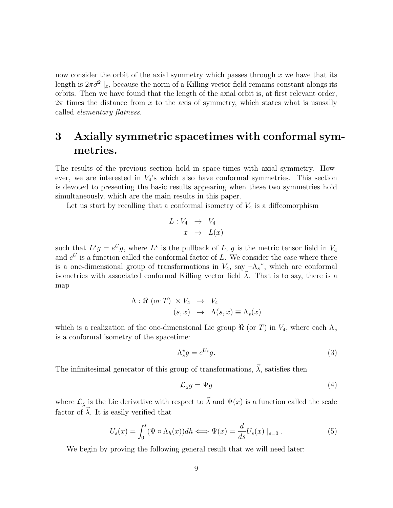<span id="page-8-0"></span>now consider the orbit of the axial symmetry which passes through  $x$  we have that its length is  $2\pi\vec{\sigma}^2\vert_x$ , because the norm of a Killing vector field remains constant alongs its orbits. Then we have found that the length of the axial orbit is, at first relevant order,  $2\pi$  times the distance from x to the axis of symmetry, which states what is ususally called elementary flatness.

## 3 Axially symmetric spacetimes with conformal symmetries.

The results of the previous section hold in space-times with axial symmetry. However, we are interested in  $V_4$ 's which also have conformal symmetries. This section is devoted to presenting the basic results appearing when these two symmetries hold simultaneously, which are the main results in this paper.

Let us start by recalling that a conformal isometry of  $V_4$  is a diffeomorphism

$$
L: V_4 \rightarrow V_4
$$

$$
x \rightarrow L(x)
$$

such that  $L^*g = e^U g$ , where  $L^*$  is the pullback of L, g is the metric tensor field in  $V_4$ and  $e^U$  is a function called the conformal factor of L. We consider the case where there is a one-dimensional group of transformations in  $V_4$ , say  $-\Lambda_s$ <sup>"</sup>, which are conformal isometries with associated conformal Killing vector field  $\lambda$ . That is to say, there is a map

$$
\begin{aligned} \Lambda: \Re \ (\textit{or} \ T) \times V_4 &\to V_4 \\ (s, x) &\to \Lambda(s, x) \equiv \Lambda_s(x) \end{aligned}
$$

which is a realization of the one-dimensional Lie group  $\Re$  (or T) in  $V_4$ , where each  $\Lambda_s$ is a conformal isometry of the spacetime:

$$
\Lambda_s^{\star} g = e^{U_s} g. \tag{3}
$$

The infinitesimal generator of this group of transformations,  $\vec{\lambda}$ , satisfies then

$$
\mathcal{L}_{\vec{\lambda}}g = \Psi g \tag{4}
$$

where  $\mathcal{L}_{\vec{\lambda}}$  is the Lie derivative with respect to  $\vec{\lambda}$  and  $\Psi(x)$  is a function called the scale factor of  $\lambda$ . It is easily verified that

$$
U_s(x) = \int_0^s (\Psi \circ \Lambda_h(x)) dh \iff \Psi(x) = \frac{d}{ds} U_s(x) \mid_{s=0}.
$$
 (5)

We begin by proving the following general result that we will need later: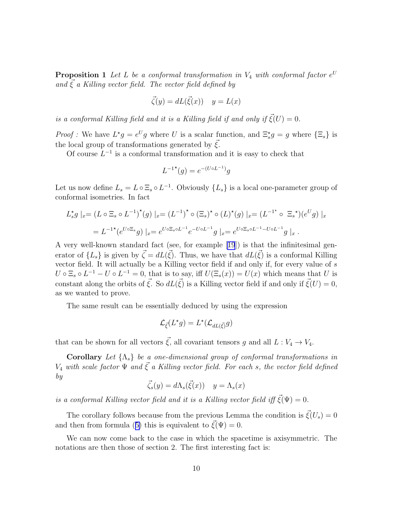**Proposition 1** Let L be a conformal transformation in  $V_4$  with conformal factor  $e^U$ and  $\xi$  a Killing vector field. The vector field defined by

$$
\vec{\zeta}(y) = dL(\vec{\xi}(x)) \quad y = L(x)
$$

is a conformal Killing field and it is a Killing field if and only if  $\vec{\xi}(U) = 0$ .

*Proof*: We have  $L^*g = e^Ug$  where U is a scalar function, and  $\Xi_s^*g = g$  where  $\{\Xi_s\}$  is the local group of transformations generated by  $\xi$ .

Of course  $L^{-1}$  is a conformal transformation and it is easy to check that

$$
L^{-1}^{\star}(g) = e^{-(U \circ L^{-1})}g
$$

Let us now define  $L_s = L \circ \Xi_s \circ L^{-1}$ . Obviously  $\{L_s\}$  is a local one-parameter group of conformal isometries. In fact

$$
L_s^* g \mid_x = (L \circ \Xi_s \circ L^{-1})^*(g) \mid_x = (L^{-1})^* \circ (\Xi_s)^* \circ (L)^*(g) \mid_x = (L^{-1^*} \circ \Xi_s^*)(e^U g) \mid_x
$$
  
=  $L^{-1^*}(e^{U \circ \Xi_s} g) \mid_x = e^{U \circ \Xi_s \circ L^{-1}} e^{-U \circ L^{-1}} g \mid_x = e^{U \circ \Xi_s \circ L^{-1} - U \circ L^{-1}} g \mid_x.$ 

A very well-known standard fact (see, for example[[19](#page-17-0)]) is that the infinitesimal generator of  $\{L_s\}$  is given by  $\vec{\zeta} = dL(\vec{\zeta})$ . Thus, we have that  $dL(\vec{\zeta})$  is a conformal Killing vector field. It will actually be a Killing vector field if and only if, for every value of s  $U \circ \Xi_s \circ L^{-1} - U \circ L^{-1} = 0$ , that is to say, iff  $U(\Xi_s(x)) = U(x)$  which means that U is constant along the orbits of  $\vec{\xi}$ . So  $dL(\vec{\xi})$  is a Killing vector field if and only if  $\vec{\xi}(U) = 0$ , as we wanted to prove.

The same result can be essentially deduced by using the expression

$$
\mathcal{L}_{\vec{\xi}}(L^\star g)=L^\star(\mathcal{L}_{dL(\vec{\xi})}g)
$$

that can be shown for all vectors  $\vec{\xi}$ , all covariant tensors g and all  $L : V_4 \to V_4$ .

Corollary Let  $\{\Lambda_s\}$  be a one-dimensional group of conformal transformations in  $V_4$  with scale factor  $\Psi$  and  $\vec{\xi}$  a Killing vector field. For each s, the vector field defined by

$$
\vec{\zeta}_s(y) = d\Lambda_s(\vec{\xi}(x)) \quad y = \Lambda_s(x)
$$

is a conformal Killing vector field and it is a Killing vector field iff  $\vec{\xi}(\Psi) = 0$ .

The corollary follows because from the previous Lemma the condition is  $\vec{\xi}(U_s) = 0$ andthen from formula ([5\)](#page-8-0) this is equivalent to  $\vec{\xi}(\Psi) = 0$ .

We can now come back to the case in which the spacetime is axisymmetric. The notations are then those of section 2. The first interesting fact is: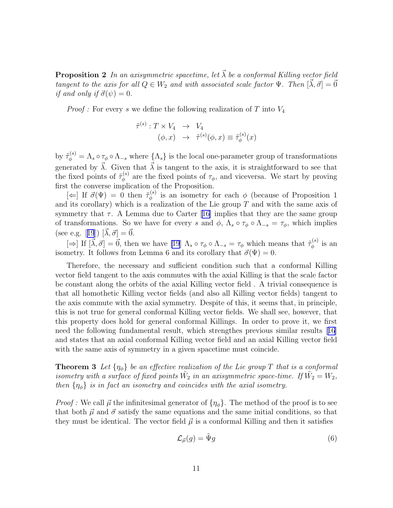<span id="page-10-0"></span>**Proposition 2** In an axisymmetric spacetime, let  $\vec{\lambda}$  be a conformal Killing vector field tangent to the axis for all  $Q \in W_2$  and with associated scale factor  $\Psi$ . Then  $[\vec{\lambda}, \vec{\sigma}] = \vec{0}$ if and only if  $\vec{\sigma}(\psi) = 0$ .

*Proof*: For every s we define the following realization of T into  $V_4$ 

$$
\tilde{\tau}^{(s)}: T \times V_4 \longrightarrow V_4
$$
  

$$
(\phi, x) \longrightarrow \tilde{\tau}^{(s)}(\phi, x) \equiv \tilde{\tau}_{\phi}^{(s)}(x)
$$

by  $\tilde{\tau}_{\phi}^{(s)} = \Lambda_s \circ \tau_{\phi} \circ \Lambda_{-s}$  where  $\{\Lambda_s\}$  is the local one-parameter group of transformations generated by  $\vec{\lambda}$ . Given that  $\vec{\lambda}$  is tangent to the axis, it is straightforward to see that the fixed points of  $\tilde{\tau}_{\phi}^{(s)}$  $\phi_{\phi}^{(8)}$  are the fixed points of  $\tau_{\phi}$ , and viceversa. We start by proving first the converse implication of the Proposition.

 $[\Leftarrow]$  If  $\vec{\sigma}(\Psi) = 0$  then  $\tilde{\tau}_{\phi}^{(s)}$  $\phi_{\phi}^{(8)}$  is an isometry for each  $\phi$  (because of Proposition 1 and its corollary) which is a realization of the Lie group  $T$  and with the same axis of symmetry that  $\tau$ . A Lemma due to Carter [\[16\]](#page-16-0) implies that they are the same group of transformations. So we have for every s and  $\phi$ ,  $\Lambda_s \circ \tau_{\phi} \circ \Lambda_{-s} = \tau_{\phi}$ , which implies (seee.g. [[19](#page-17-0)])  $[\vec{\lambda}, \vec{\sigma}] = \vec{0}$ .

 $[\Rightarrow]$  If  $[\vec{\lambda}, \vec{\sigma}] = \vec{0}$ , then we have [\[19](#page-17-0)]  $\Lambda_s \circ \tau_{\phi} \circ \Lambda_{-s} = \tau_{\phi}$  which means that  $\tilde{\tau}_{\phi}^{(s)}$  $\phi^{(s)}$  is an isometry. It follows from Lemma 6 and its corollary that  $\vec{\sigma}(\Psi) = 0$ .

Therefore, the necessary and sufficient condition such that a conformal Killing vector field tangent to the axis commutes with the axial Killing is that the scale factor be constant along the orbits of the axial Killing vector field . A trivial consequence is that all homothetic Killing vector fields (and also all Killing vector fields) tangent to the axis commute with the axial symmetry. Despite of this, it seems that, in principle, this is not true for general conformal Killing vector fields. We shall see, however, that this property does hold for general conformal Killings. In order to prove it, we first need the following fundamental result, which strengthes previous similar results[[16](#page-16-0)] and states that an axial conformal Killing vector field and an axial Killing vector field with the same axis of symmetry in a given spacetime must coincide.

**Theorem 3** Let  $\{\eta_{\phi}\}\$ be an effective realization of the Lie group T that is a conformal isometry with a surface of fixed points  $\tilde{W}_2$  in an axisymmetric space-time. If  $\tilde{W}_2 = W_2$ , then  $\{\eta_{\phi}\}\$ is in fact an isometry and coincides with the axial isometry.

*Proof*: We call  $\vec{\mu}$  the infinitesimal generator of  $\{\eta_{\phi}\}\)$ . The method of the proof is to see that both  $\vec{\mu}$  and  $\vec{\sigma}$  satisfy the same equations and the same initial conditions, so that they must be identical. The vector field  $\vec{\mu}$  is a conformal Killing and then it satisfies

$$
\mathcal{L}_{\vec{\mu}}(g) = \tilde{\Psi}g\tag{6}
$$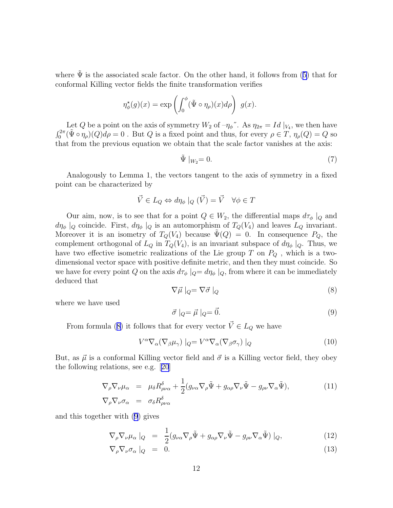<span id="page-11-0"></span>where  $\tilde{\Psi}$  is the associated scale factor. On the other hand, it follows from ([5\)](#page-8-0) that for conformal Killing vector fields the finite transformation verifies

$$
\eta_{\phi}^{\star}(g)(x) = \exp\left(\int_0^{\phi} (\tilde{\Psi} \circ \eta_{\rho})(x) d\rho\right) g(x).
$$

Let Q be a point on the axis of symmetry  $W_2$  of  $-\eta_{\phi}$ ". As  $\eta_{2\pi} = Id|_{V_4}$ , we then have  $\int_0^{2\pi} (\tilde{\Psi} \circ \eta_\rho)(Q) d\rho = 0$ . But Q is a fixed point and thus, for every  $\rho \in T$ ,  $\eta_\rho(Q) = Q$  so that from the previous equation we obtain that the scale factor vanishes at the axis:

$$
\tilde{\Psi} \mid_{W_2} = 0. \tag{7}
$$

Analogously to Lemma 1, the vectors tangent to the axis of symmetry in a fixed point can be characterized by

$$
\vec{V} \in L_Q \Leftrightarrow d\eta_{\phi} \mid_Q (\vec{V}) = \vec{V} \quad \forall \phi \in T
$$

Our aim, now, is to see that for a point  $Q \in W_2$ , the differential maps  $d\tau_\phi |_Q$  and  $d\eta_{\phi}$  |<sub>Q</sub> coincide. First,  $d\eta_{\phi}$  |<sub>Q</sub> is an automorphism of  $T_Q(V_4)$  and leaves  $L_Q$  invariant. Moreover it is an isometry of  $T_Q(V_4)$  because  $\tilde{\Psi}(Q) = 0$ . In consequence  $P_Q$ , the complement orthogonal of  $L_Q$  in  $T_Q(V_4)$ , is an invariant subspace of  $d\eta_\phi|_Q$ . Thus, we have two effective isometric realizations of the Lie group T on  $P_Q$ , which is a twodimensional vector space with positive definite metric, and then they must coincide. So we have for every point Q on the axis  $d\tau_{\phi} |_{Q} = d\eta_{\phi} |_{Q}$ , from where it can be immediately deduced that

$$
\nabla \vec{\mu} \mid_{Q} = \nabla \vec{\sigma} \mid_{Q} \tag{8}
$$

where we have used

$$
\vec{\sigma} \mid_{Q} = \vec{\mu} \mid_{Q} = \vec{0}.\tag{9}
$$

From formula (8) it follows that for every vector  $\vec{V} \in L_Q$  we have

$$
V^{\alpha}\nabla_{\alpha}(\nabla_{\beta}\mu_{\gamma})\mid_{Q}=V^{\alpha}\nabla_{\alpha}(\nabla_{\beta}\sigma_{\gamma})\mid_{Q}\tag{10}
$$

But, as  $\vec{\mu}$  is a conformal Killing vector field and  $\vec{\sigma}$  is a Killing vector field, they obey the following relations, see e.g.[[20](#page-17-0)]

$$
\nabla_{\rho} \nabla_{\nu} \mu_{\alpha} = \mu_{\delta} R^{\delta}_{\rho \nu \alpha} + \frac{1}{2} (g_{\nu \alpha} \nabla_{\rho} \tilde{\Psi} + g_{\alpha \rho} \nabla_{\nu} \tilde{\Psi} - g_{\rho \nu} \nabla_{\alpha} \tilde{\Psi}),
$$
\n
$$
\nabla_{\rho} \nabla_{\nu} \sigma_{\alpha} = \sigma_{\delta} R^{\delta}_{\rho \nu \alpha}
$$
\n(11)

and this together with (9) gives

$$
\nabla_{\rho} \nabla_{\nu} \mu_{\alpha} \mid_{Q} = \frac{1}{2} (g_{\nu\alpha} \nabla_{\rho} \tilde{\Psi} + g_{\alpha\rho} \nabla_{\nu} \tilde{\Psi} - g_{\rho\nu} \nabla_{\alpha} \tilde{\Psi}) \mid_{Q}, \tag{12}
$$

$$
\nabla_{\rho} \nabla_{\nu} \sigma_{\alpha} \mid_{Q} = 0. \tag{13}
$$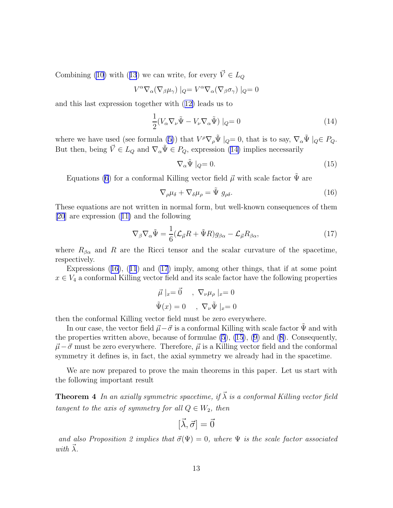Combining [\(10](#page-11-0))with ([13](#page-11-0)) we can write, for every  $\vec{V} \in L_Q$ 

$$
V^{\alpha}\nabla_{\alpha}(\nabla_{\beta}\mu_{\gamma})\mid_{Q}=V^{\alpha}\nabla_{\alpha}(\nabla_{\beta}\sigma_{\gamma})\mid_{Q}=0
$$

and this last expression together with([12\)](#page-11-0) leads us to

$$
\frac{1}{2}(V_{\alpha}\nabla_{\nu}\tilde{\Psi} - V_{\nu}\nabla_{\alpha}\tilde{\Psi})\mid_{Q} = 0
$$
\n(14)

wherewe have used (see formula ([5\)](#page-8-0)) that  $V^{\rho} \nabla_{\rho} \tilde{\Psi} |_{Q} = 0$ , that is to say,  $\nabla_{\alpha} \tilde{\Psi} |_{Q} \in P_{Q}$ . But then, being  $\vec{V} \in L_Q$  and  $\nabla_\alpha \tilde{\Psi} \in P_Q$ , expression (14) implies necessarily

$$
\nabla_{\alpha}\tilde{\Psi}\mid_{Q}=0.\tag{15}
$$

Equations [\(6](#page-10-0)) for a conformal Killing vector field  $\vec{\mu}$  with scale factor  $\tilde{\Psi}$  are

$$
\nabla_{\rho}\mu_{\delta} + \nabla_{\delta}\mu_{\rho} = \tilde{\Psi} g_{\rho\delta}.
$$
\n(16)

These equations are not written in normal form, but well-known consequences of them [\[20](#page-17-0)] are expression([11\)](#page-11-0) and the following

$$
\nabla_{\beta} \nabla_{\alpha} \tilde{\Psi} = \frac{1}{6} (\mathcal{L}_{\vec{\mu}} R + \tilde{\Psi} R) g_{\beta \alpha} - \mathcal{L}_{\vec{\mu}} R_{\beta \alpha}, \qquad (17)
$$

where  $R_{\beta\alpha}$  and R are the Ricci tensor and the scalar curvature of the spacetime, respectively.

Expressions (16),([11](#page-11-0)) and (17) imply, among other things, that if at some point  $x \in V_4$  a conformal Killing vector field and its scale factor have the following properties

$$
\vec{\mu}|_x = \vec{0} \quad , \ \nabla_{\nu} \mu_{\rho} |_x = 0
$$

$$
\tilde{\Psi}(x) = 0 \quad , \ \nabla_{\nu} \tilde{\Psi} |_x = 0
$$

then the conformal Killing vector field must be zero everywhere.

In our case, the vector field  $\vec{\mu} - \vec{\sigma}$  is a conformal Killing with scale factor  $\Psi$  and with theproperties written above, because of formulae  $(5)$ ,  $(15)$ ,  $(9)$  and  $(8)$  $(8)$ . Consequently,  $\vec{\mu}-\vec{\sigma}$  must be zero everywhere. Therefore,  $\vec{\mu}$  is a Killing vector field and the conformal symmetry it defines is, in fact, the axial symmetry we already had in the spacetime.

We are now prepared to prove the main theorems in this paper. Let us start with the following important result

**Theorem 4** In an axially symmetric spacetime, if  $\vec{\lambda}$  is a conformal Killing vector field tangent to the axis of symmetry for all  $Q \in W_2$ , then

$$
[\vec{\lambda},\vec{\sigma}]=\vec{0}
$$

and also Proposition 2 implies that  $\vec{\sigma}(\Psi) = 0$ , where  $\Psi$  is the scale factor associated with  $\lambda$ .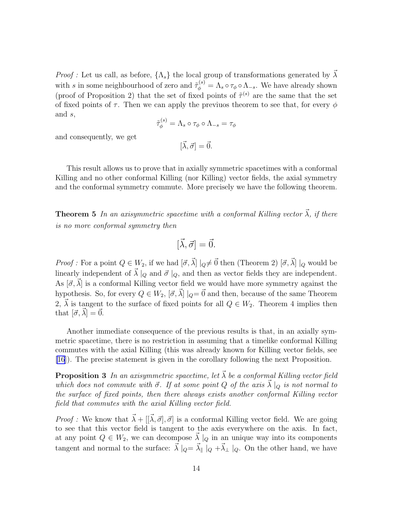*Proof :* Let us call, as before,  $\{\Lambda_s\}$  the local group of transformations generated by  $\vec{\lambda}$ with s in some neighbourhood of zero and  $\tilde{\tau}_{\phi}^{(s)} = \Lambda_s \circ \tau_{\phi} \circ \Lambda_{-s}$ . We have already shown (proof of Proposition 2) that the set of fixed points of  $\tilde{\tau}^{(s)}$  are the same that the set of fixed points of  $\tau$ . Then we can apply the previuos theorem to see that, for every  $\phi$ and s,

$$
\tilde{\tau}_{\phi}^{(s)} = \Lambda_s \circ \tau_{\phi} \circ \Lambda_{-s} = \tau_{\phi}
$$

and consequently, we get

 $[\vec{\lambda}, \vec{\sigma}] = \vec{0}.$ 

This result allows us to prove that in axially symmetric spacetimes with a conformal Killing and no other conformal Killing (nor Killing) vector fields, the axial symmetry and the conformal symmetry commute. More precisely we have the following theorem.

**Theorem 5** In an axisymmetric spacetime with a conformal Killing vector  $\vec{\lambda}$ , if there is no more conformal symmetry then

$$
[\vec{\lambda}, \vec{\sigma}] = \vec{0}.
$$

*Proof*: For a point  $Q \in W_2$ , if we had  $[\vec{\sigma}, \vec{\lambda}] |_{Q} \neq \vec{0}$  then (Theorem 2)  $[\vec{\sigma}, \vec{\lambda}] |_{Q}$  would be linearly independent of  $\vec{\lambda} \mid_Q$  and  $\vec{\sigma} \mid_Q$ , and then as vector fields they are independent. As  $[\vec{\sigma}, \vec{\lambda}]$  is a conformal Killing vector field we would have more symmetry against the hypothesis. So, for every  $Q \in W_2$ ,  $[\vec{\sigma}, \vec{\lambda}] |_{Q} = \vec{0}$  and then, because of the same Theorem 2,  $\vec{\lambda}$  is tangent to the surface of fixed points for all  $Q \in W_2$ . Theorem 4 implies then that  $[\vec{\sigma}, \lambda] = 0.$ 

Another immediate consequence of the previous results is that, in an axially symmetric spacetime, there is no restriction in assuming that a timelike conformal Killing commutes with the axial Killing (this was already known for Killing vector fields, see [\[16](#page-16-0)]). The precise statement is given in the corollary following the next Proposition.

**Proposition 3** In an axisymmetric spacetime, let  $\vec{\lambda}$  be a conformal Killing vector field which does not commute with  $\vec{\sigma}$ . If at some point Q of the axis  $\vec{\lambda} \mid_Q$  is not normal to the surface of fixed points, then there always exists another conformal Killing vector field that commutes with the axial Killing vector field.

*Proof* : We know that  $\vec{\lambda} + [[\vec{\lambda}, \vec{\sigma}], \vec{\sigma}]$  is a conformal Killing vector field. We are going to see that this vector field is tangent to the axis everywhere on the axis. In fact, at any point  $Q \in W_2$ , we can decompose  $\lambda |_{Q}$  in an unique way into its components tangent and normal to the surface:  $\vec{\lambda} |_{Q} = \vec{\lambda}$  |  $|_{Q} + \vec{\lambda}$  |  $|_{Q}$ . On the other hand, we have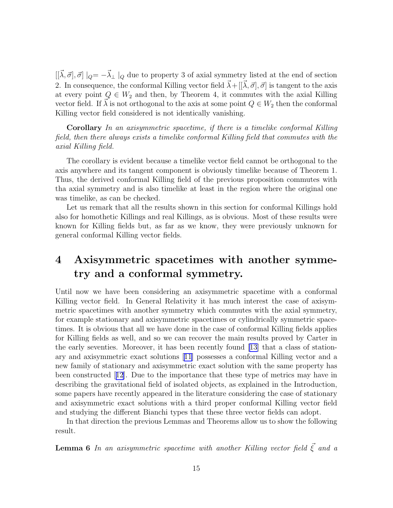$[[\vec{\lambda}, \vec{\sigma}], \vec{\sigma}] |_{Q} = -\vec{\lambda}_{\perp} |_{Q}$  due to property 3 of axial symmetry listed at the end of section 2. In consequence, the conformal Killing vector field  $\vec{\lambda} + [[\vec{\lambda}, \vec{\sigma}], \vec{\sigma}]$  is tangent to the axis at every point  $Q \in W_2$  and then, by Theorem 4, it commutes with the axial Killing vector field. If  $\lambda$  is not orthogonal to the axis at some point  $Q \in W_2$  then the conformal Killing vector field considered is not identically vanishing.

Corollary In an axisymmetric spacetime, if there is a timelike conformal Killing field, then there always exists a timelike conformal Killing field that commutes with the axial Killing field.

The corollary is evident because a timelike vector field cannot be orthogonal to the axis anywhere and its tangent component is obviously timelike because of Theorem 1. Thus, the derived conformal Killing field of the previous proposition commutes with tha axial symmetry and is also timelike at least in the region where the original one was timelike, as can be checked.

Let us remark that all the results shown in this section for conformal Killings hold also for homothetic Killings and real Killings, as is obvious. Most of these results were known for Killing fields but, as far as we know, they were previously unknown for general conformal Killing vector fields.

## 4 Axisymmetric spacetimes with another symmetry and a conformal symmetry.

Until now we have been considering an axisymmetric spacetime with a conformal Killing vector field. In General Relativity it has much interest the case of axisymmetric spacetimes with another symmetry which commutes with the axial symmetry, for example stationary and axisymmetric spacetimes or cylindrically symmetric spacetimes. It is obvious that all we have done in the case of conformal Killing fields applies for Killing fields as well, and so we can recover the main results proved by Carter in the early seventies. Moreover, it has been recently found [\[13\]](#page-16-0) that a class of stationary and axisymmetric exact solutions [\[11\]](#page-16-0) possesses a conformal Killing vector and a new family of stationary and axisymmetric exact solution with the same property has been constructed[[12](#page-16-0)]. Due to the importance that these type of metrics may have in describing the gravitational field of isolated objects, as explained in the Introduction, some papers have recently appeared in the literature considering the case of stationary and axisymmetric exact solutions with a third proper conformal Killing vector field and studying the different Bianchi types that these three vector fields can adopt.

In that direction the previous Lemmas and Theorems allow us to show the following result.

**Lemma 6** In an axisymmetric spacetime with another Killing vector field  $\vec{\xi}$  and a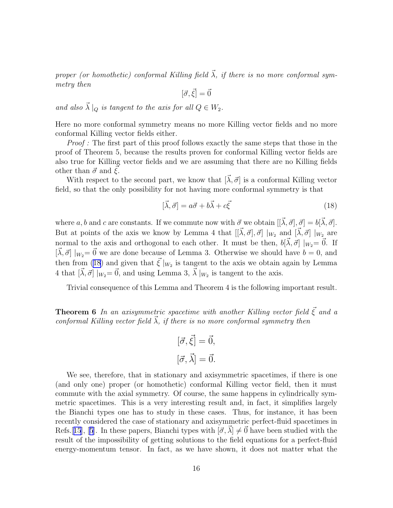proper (or homothetic) conformal Killing field  $\vec{\lambda}$ , if there is no more conformal symmetry then

 $[\vec{\sigma}, \vec{\xi}] = \vec{0}$ 

and also  $\vec{\lambda} \mid_{Q}$  is tangent to the axis for all  $Q \in W_2$ .

Here no more conformal symmetry means no more Killing vector fields and no more conformal Killing vector fields either.

Proof : The first part of this proof follows exactly the same steps that those in the proof of Theorem 5, because the results proven for conformal Killing vector fields are also true for Killing vector fields and we are assuming that there are no Killing fields other than  $\vec{\sigma}$  and  $\xi$ .

With respect to the second part, we know that  $[\vec{\lambda}, \vec{\sigma}]$  is a conformal Killing vector field, so that the only possibility for not having more conformal symmetry is that

$$
[\vec{\lambda}, \vec{\sigma}] = a\vec{\sigma} + b\vec{\lambda} + c\vec{\xi}
$$
\n(18)

where a, b and c are constants. If we commute now with  $\vec{\sigma}$  we obtain  $[[\vec{\lambda}, \vec{\sigma}], \vec{\sigma}] = b[\vec{\lambda}, \vec{\sigma}].$ But at points of the axis we know by Lemma 4 that  $[[\vec{\lambda}, \vec{\sigma}], \vec{\sigma}] |_{W_2}$  and  $[\vec{\lambda}, \vec{\sigma}] |_{W_2}$  are normal to the axis and orthogonal to each other. It must be then,  $b[\vec{\lambda}, \vec{\sigma}] |_{W_2} = \vec{0}$ . If  $[\vec{\lambda}, \vec{\sigma}] |_{W_2} = \vec{0}$  we are done because of Lemma 3. Otherwise we should have  $b = 0$ , and then from (18) and given that  $\vec{\xi}|_{W_2}$  is tangent to the axis we obtain again by Lemma 4 that  $[\vec{\lambda}, \vec{\sigma}] |_{W_2} = \vec{0}$ , and using Lemma 3,  $\vec{\lambda} |_{W_2}$  is tangent to the axis.

Trivial consequence of this Lemma and Theorem 4 is the following important result.

**Theorem 6** In an axisymmetric spacetime with another Killing vector field  $\vec{\xi}$  and a conformal Killing vector field  $\vec{\lambda}$ , if there is no more conformal symmetry then

$$
[\vec{\sigma}, \vec{\xi}] = \vec{0},
$$

$$
[\vec{\sigma}, \vec{\lambda}] = \vec{0}.
$$

We see, therefore, that in stationary and axisymmetric spacetimes, if there is one (and only one) proper (or homothetic) conformal Killing vector field, then it must commute with the axial symmetry. Of course, the same happens in cylindrically symmetric spacetimes. This is a very interesting result and, in fact, it simplifies largely the Bianchi types one has to study in these cases. Thus, for instance, it has been recently considered the case of stationary and axisymmetric perfect-fluid spacetimes in Refs.[[15](#page-16-0)],[[5](#page-16-0)]. In these papers, Bianchi types with  $[\vec{\sigma}, \lambda] \neq 0$  have been studied with the result of the impossibility of getting solutions to the field equations for a perfect-fluid energy-momentum tensor. In fact, as we have shown, it does not matter what the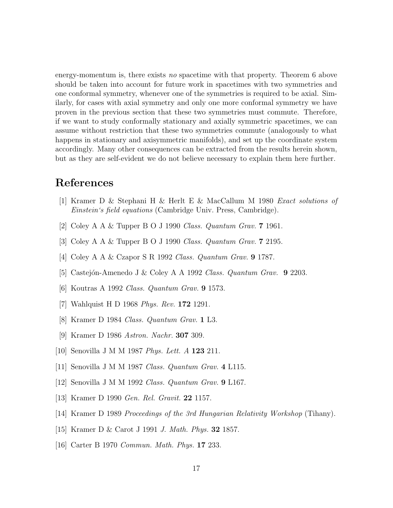<span id="page-16-0"></span>energy-momentum is, there exists no spacetime with that property. Theorem 6 above should be taken into account for future work in spacetimes with two symmetries and one conformal symmetry, whenever one of the symmetries is required to be axial. Similarly, for cases with axial symmetry and only one more conformal symmetry we have proven in the previous section that these two symmetries must commute. Therefore, if we want to study conformally stationary and axially symmetric spacetimes, we can assume without restriction that these two symmetries commute (analogously to what happens in stationary and axisymmetric manifolds), and set up the coordinate system accordingly. Many other consequences can be extracted from the results herein shown, but as they are self-evident we do not believe necessary to explain them here further.

## References

- [1] Kramer D & Stephani H & Herlt E & MacCallum M 1980 Exact solutions of Einstein's field equations (Cambridge Univ. Press, Cambridge).
- [2] Coley A A & Tupper B O J 1990 Class. Quantum Grav. 7 1961.
- [3] Coley A A & Tupper B O J 1990 Class. Quantum Grav. 7 2195.
- [4] Coley A A & Czapor S R 1992 Class. Quantum Grav. 9 1787.
- [5] Castejón-Amenedo J & Coley A A 1992 Class. Quantum Grav.  $9\ 2203$ .
- [6] Koutras A 1992 Class. Quantum Grav. 9 1573.
- [7] Wahlquist H D 1968 Phys. Rev. 172 1291.
- [8] Kramer D 1984 Class. Quantum Grav. 1 L3.
- [9] Kramer D 1986 Astron. Nachr. 307 309.
- [10] Senovilla J M M 1987 Phys. Lett. A 123 211.
- [11] Senovilla J M M 1987 Class. Quantum Grav. 4 L115.
- [12] Senovilla J M M 1992 Class. Quantum Grav. 9 L167.
- [13] Kramer D 1990 *Gen. Rel. Gravit.* **22** 1157.
- [14] Kramer D 1989 Proceedings of the 3rd Hungarian Relativity Workshop (Tihany).
- [15] Kramer D & Carot J 1991 J. Math. Phys. 32 1857.
- [16] Carter B 1970 Commun. Math. Phys. 17 233.